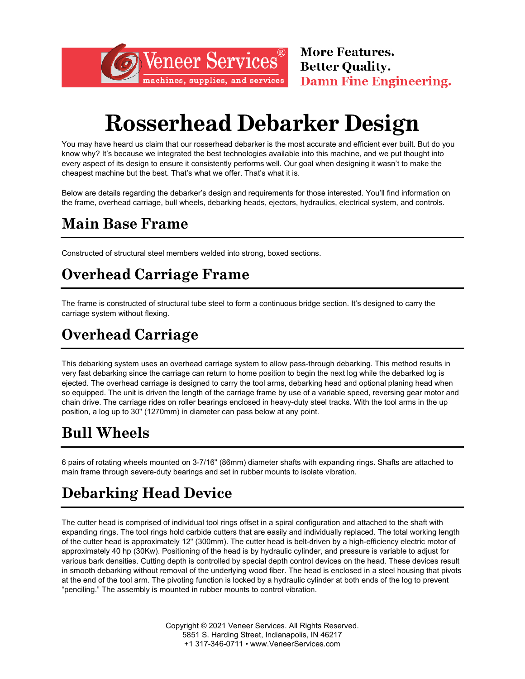# **Rosserhead Debarker Design**

Veneer Services

machines, supplies, and services

You may have heard us claim that our rosserhead debarker is the most accurate and efficient ever built. But do you know why? It's because we integrated the best technologies available into this machine, and we put thought into every aspect of its design to ensure it consistently performs well. Our goal when designing it wasn't to make the cheapest machine but the best. That's what we offer. That's what it is.

Below are details regarding the debarker's design and requirements for those interested. You'll find information on the frame, overhead carriage, bull wheels, debarking heads, ejectors, hydraulics, electrical system, and controls.

#### **Main Base Frame**

Constructed of structural steel members welded into strong, boxed sections.

### **Overhead Carriage Frame**

The frame is constructed of structural tube steel to form a continuous bridge section. It's designed to carry the carriage system without flexing.

## **Overhead Carriage**

This debarking system uses an overhead carriage system to allow pass-through debarking. This method results in very fast debarking since the carriage can return to home position to begin the next log while the debarked log is ejected. The overhead carriage is designed to carry the tool arms, debarking head and optional planing head when so equipped. The unit is driven the length of the carriage frame by use of a variable speed, reversing gear motor and chain drive. The carriage rides on roller bearings enclosed in heavy-duty steel tracks. With the tool arms in the up position, a log up to 30" (1270mm) in diameter can pass below at any point.

#### **Bull Wheels**

6 pairs of rotating wheels mounted on 3-7/16" (86mm) diameter shafts with expanding rings. Shafts are attached to main frame through severe-duty bearings and set in rubber mounts to isolate vibration.

# **Debarking Head Device**

The cutter head is comprised of individual tool rings offset in a spiral configuration and attached to the shaft with expanding rings. The tool rings hold carbide cutters that are easily and individually replaced. The total working length of the cutter head is approximately 12" (300mm). The cutter head is belt-driven by a high-efficiency electric motor of approximately 40 hp (30Kw). Positioning of the head is by hydraulic cylinder, and pressure is variable to adjust for various bark densities. Cutting depth is controlled by special depth control devices on the head. These devices result in smooth debarking without removal of the underlying wood fiber. The head is enclosed in a steel housing that pivots at the end of the tool arm. The pivoting function is locked by a hydraulic cylinder at both ends of the log to prevent "penciling." The assembly is mounted in rubber mounts to control vibration.

> Copyright © 2021 Veneer Services. All Rights Reserved. 5851 S. Harding Street, Indianapolis, IN 46217 +1 317-346-0711 • www.VeneerServices.com